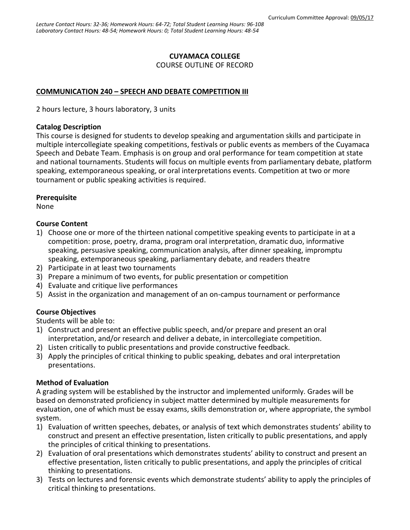### **CUYAMACA COLLEGE**

COURSE OUTLINE OF RECORD

# **COMMUNICATION 240 – SPEECH AND DEBATE COMPETITION III**

2 hours lecture, 3 hours laboratory, 3 units

#### **Catalog Description**

This course is designed for students to develop speaking and argumentation skills and participate in multiple intercollegiate speaking competitions, festivals or public events as members of the Cuyamaca Speech and Debate Team. Emphasis is on group and oral performance for team competition at state and national tournaments. Students will focus on multiple events from parliamentary debate, platform speaking, extemporaneous speaking, or oral interpretations events. Competition at two or more tournament or public speaking activities is required.

#### **Prerequisite**

None

#### **Course Content**

- 1) Choose one or more of the thirteen national competitive speaking events to participate in at a competition: prose, poetry, drama, program oral interpretation, dramatic duo, informative speaking, persuasive speaking, communication analysis, after dinner speaking, impromptu speaking, extemporaneous speaking, parliamentary debate, and readers theatre
- 2) Participate in at least two tournaments
- 3) Prepare a minimum of two events, for public presentation or competition
- 4) Evaluate and critique live performances
- 5) Assist in the organization and management of an on-campus tournament or performance

#### **Course Objectives**

Students will be able to:

- 1) Construct and present an effective public speech, and/or prepare and present an oral interpretation, and/or research and deliver a debate, in intercollegiate competition.
- 2) Listen critically to public presentations and provide constructive feedback.
- 3) Apply the principles of critical thinking to public speaking, debates and oral interpretation presentations.

#### **Method of Evaluation**

A grading system will be established by the instructor and implemented uniformly. Grades will be based on demonstrated proficiency in subject matter determined by multiple measurements for evaluation, one of which must be essay exams, skills demonstration or, where appropriate, the symbol system.

- 1) Evaluation of written speeches, debates, or analysis of text which demonstrates students' ability to construct and present an effective presentation, listen critically to public presentations, and apply the principles of critical thinking to presentations.
- 2) Evaluation of oral presentations which demonstrates students' ability to construct and present an effective presentation, listen critically to public presentations, and apply the principles of critical thinking to presentations.
- 3) Tests on lectures and forensic events which demonstrate students' ability to apply the principles of critical thinking to presentations.